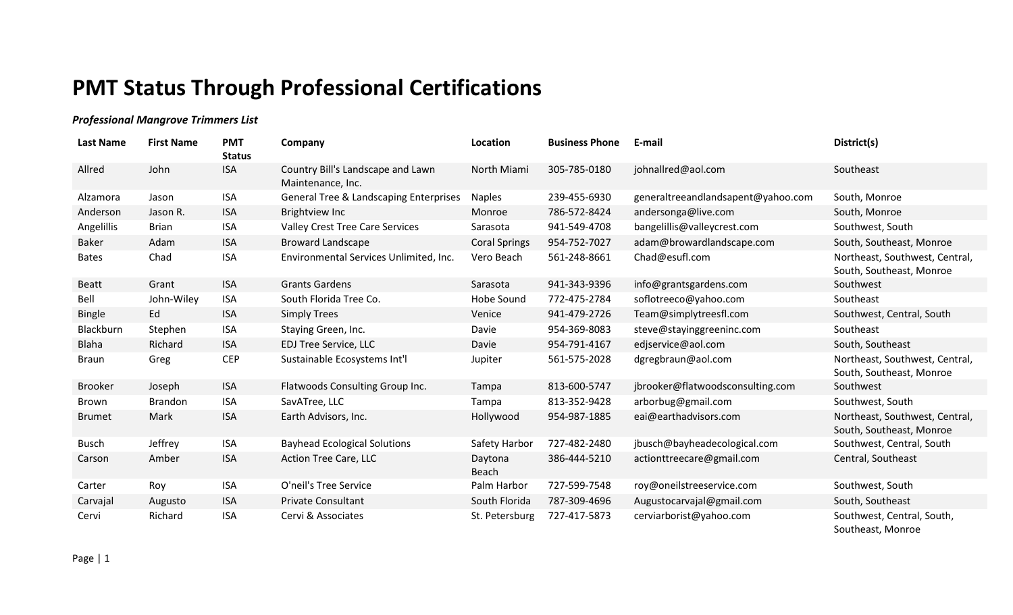## **PMT Status Through Professional Certifications**

## *Professional Mangrove Trimmers List*

| Last Name      | <b>First Name</b> | <b>PMT</b><br><b>Status</b> | Company                                                | Location             | <b>Business Phone</b> | E-mail                             | District(s)                                                |
|----------------|-------------------|-----------------------------|--------------------------------------------------------|----------------------|-----------------------|------------------------------------|------------------------------------------------------------|
| Allred         | John              | <b>ISA</b>                  | Country Bill's Landscape and Lawn<br>Maintenance, Inc. | North Miami          | 305-785-0180          | johnallred@aol.com                 | Southeast                                                  |
| Alzamora       | Jason             | <b>ISA</b>                  | <b>General Tree &amp; Landscaping Enterprises</b>      | <b>Naples</b>        | 239-455-6930          | generaltreeandlandsapent@yahoo.com | South, Monroe                                              |
| Anderson       | Jason R.          | <b>ISA</b>                  | Brightview Inc                                         | Monroe               | 786-572-8424          | andersonga@live.com                | South, Monroe                                              |
| Angelillis     | <b>Brian</b>      | <b>ISA</b>                  | Valley Crest Tree Care Services                        | Sarasota             | 941-549-4708          | bangelillis@valleycrest.com        | Southwest, South                                           |
| <b>Baker</b>   | Adam              | <b>ISA</b>                  | <b>Broward Landscape</b>                               | <b>Coral Springs</b> | 954-752-7027          | adam@browardlandscape.com          | South, Southeast, Monroe                                   |
| <b>Bates</b>   | Chad              | <b>ISA</b>                  | Environmental Services Unlimited, Inc.                 | Vero Beach           | 561-248-8661          | Chad@esufl.com                     | Northeast, Southwest, Central,<br>South, Southeast, Monroe |
| <b>Beatt</b>   | Grant             | <b>ISA</b>                  | <b>Grants Gardens</b>                                  | Sarasota             | 941-343-9396          | info@grantsgardens.com             | Southwest                                                  |
| Bell           | John-Wiley        | <b>ISA</b>                  | South Florida Tree Co.                                 | Hobe Sound           | 772-475-2784          | soflotreeco@yahoo.com              | Southeast                                                  |
| <b>Bingle</b>  | Ed                | <b>ISA</b>                  | <b>Simply Trees</b>                                    | Venice               | 941-479-2726          | Team@simplytreesfl.com             | Southwest, Central, South                                  |
| Blackburn      | Stephen           | <b>ISA</b>                  | Staying Green, Inc.                                    | Davie                | 954-369-8083          | steve@stayinggreeninc.com          | Southeast                                                  |
| <b>Blaha</b>   | Richard           | <b>ISA</b>                  | EDJ Tree Service, LLC                                  | Davie                | 954-791-4167          | edjservice@aol.com                 | South, Southeast                                           |
| <b>Braun</b>   | Greg              | <b>CEP</b>                  | Sustainable Ecosystems Int'l                           | Jupiter              | 561-575-2028          | dgregbraun@aol.com                 | Northeast, Southwest, Central,<br>South, Southeast, Monroe |
| <b>Brooker</b> | Joseph            | <b>ISA</b>                  | Flatwoods Consulting Group Inc.                        | Tampa                | 813-600-5747          | jbrooker@flatwoodsconsulting.com   | Southwest                                                  |
| <b>Brown</b>   | <b>Brandon</b>    | <b>ISA</b>                  | SavATree, LLC                                          | Tampa                | 813-352-9428          | arborbug@gmail.com                 | Southwest, South                                           |
| <b>Brumet</b>  | Mark              | <b>ISA</b>                  | Earth Advisors, Inc.                                   | Hollywood            | 954-987-1885          | eai@earthadvisors.com              | Northeast, Southwest, Central,<br>South, Southeast, Monroe |
| <b>Busch</b>   | Jeffrey           | <b>ISA</b>                  | <b>Bayhead Ecological Solutions</b>                    | Safety Harbor        | 727-482-2480          | jbusch@bayheadecological.com       | Southwest, Central, South                                  |
| Carson         | Amber             | <b>ISA</b>                  | Action Tree Care, LLC                                  | Daytona<br>Beach     | 386-444-5210          | actionttreecare@gmail.com          | Central, Southeast                                         |
| Carter         | Roy               | <b>ISA</b>                  | O'neil's Tree Service                                  | Palm Harbor          | 727-599-7548          | roy@oneilstreeservice.com          | Southwest, South                                           |
| Carvajal       | Augusto           | <b>ISA</b>                  | <b>Private Consultant</b>                              | South Florida        | 787-309-4696          | Augustocarvajal@gmail.com          | South, Southeast                                           |
| Cervi          | Richard           | <b>ISA</b>                  | Cervi & Associates                                     | St. Petersburg       | 727-417-5873          | cerviarborist@yahoo.com            | Southwest, Central, South,<br>Southeast, Monroe            |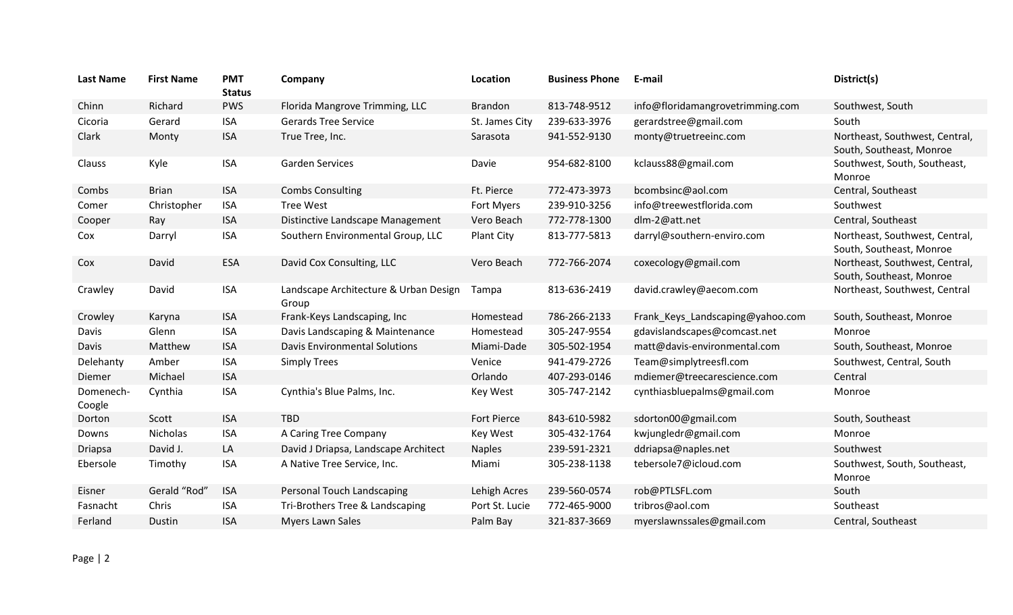| <b>Last Name</b>    | <b>First Name</b> | <b>PMT</b><br><b>Status</b> | Company                                        | Location           | <b>Business Phone</b> | E-mail                           | District(s)                                                |
|---------------------|-------------------|-----------------------------|------------------------------------------------|--------------------|-----------------------|----------------------------------|------------------------------------------------------------|
| Chinn               | Richard           | <b>PWS</b>                  | Florida Mangrove Trimming, LLC                 | <b>Brandon</b>     | 813-748-9512          | info@floridamangrovetrimming.com | Southwest, South                                           |
| Cicoria             | Gerard            | <b>ISA</b>                  | <b>Gerards Tree Service</b>                    | St. James City     | 239-633-3976          | gerardstree@gmail.com            | South                                                      |
| Clark               | Monty             | <b>ISA</b>                  | True Tree, Inc.                                | Sarasota           | 941-552-9130          | monty@truetreeinc.com            | Northeast, Southwest, Central,<br>South, Southeast, Monroe |
| Clauss              | Kyle              | <b>ISA</b>                  | <b>Garden Services</b>                         | Davie              | 954-682-8100          | kclauss88@gmail.com              | Southwest, South, Southeast,<br>Monroe                     |
| Combs               | <b>Brian</b>      | <b>ISA</b>                  | <b>Combs Consulting</b>                        | Ft. Pierce         | 772-473-3973          | bcombsinc@aol.com                | Central, Southeast                                         |
| Comer               | Christopher       | <b>ISA</b>                  | <b>Tree West</b>                               | Fort Myers         | 239-910-3256          | info@treewestflorida.com         | Southwest                                                  |
| Cooper              | Ray               | <b>ISA</b>                  | Distinctive Landscape Management               | Vero Beach         | 772-778-1300          | dlm-2@att.net                    | Central, Southeast                                         |
| Cox                 | Darryl            | <b>ISA</b>                  | Southern Environmental Group, LLC              | Plant City         | 813-777-5813          | darryl@southern-enviro.com       | Northeast, Southwest, Central,<br>South, Southeast, Monroe |
| Cox                 | David             | <b>ESA</b>                  | David Cox Consulting, LLC                      | Vero Beach         | 772-766-2074          | coxecology@gmail.com             | Northeast, Southwest, Central,<br>South, Southeast, Monroe |
| Crawley             | David             | <b>ISA</b>                  | Landscape Architecture & Urban Design<br>Group | Tampa              | 813-636-2419          | david.crawley@aecom.com          | Northeast, Southwest, Central                              |
| Crowley             | Karyna            | <b>ISA</b>                  | Frank-Keys Landscaping, Inc                    | Homestead          | 786-266-2133          | Frank_Keys_Landscaping@yahoo.com | South, Southeast, Monroe                                   |
| Davis               | Glenn             | <b>ISA</b>                  | Davis Landscaping & Maintenance                | Homestead          | 305-247-9554          | gdavislandscapes@comcast.net     | Monroe                                                     |
| Davis               | Matthew           | <b>ISA</b>                  | <b>Davis Environmental Solutions</b>           | Miami-Dade         | 305-502-1954          | matt@davis-environmental.com     | South, Southeast, Monroe                                   |
| Delehanty           | Amber             | <b>ISA</b>                  | <b>Simply Trees</b>                            | Venice             | 941-479-2726          | Team@simplytreesfl.com           | Southwest, Central, South                                  |
| Diemer              | Michael           | <b>ISA</b>                  |                                                | Orlando            | 407-293-0146          | mdiemer@treecarescience.com      | Central                                                    |
| Domenech-<br>Coogle | Cynthia           | <b>ISA</b>                  | Cynthia's Blue Palms, Inc.                     | Key West           | 305-747-2142          | cynthiasbluepalms@gmail.com      | Monroe                                                     |
| Dorton              | Scott             | <b>ISA</b>                  | <b>TBD</b>                                     | <b>Fort Pierce</b> | 843-610-5982          | sdorton00@gmail.com              | South, Southeast                                           |
| Downs               | Nicholas          | <b>ISA</b>                  | A Caring Tree Company                          | <b>Key West</b>    | 305-432-1764          | kwjungledr@gmail.com             | Monroe                                                     |
| Driapsa             | David J.          | LA                          | David J Driapsa, Landscape Architect           | <b>Naples</b>      | 239-591-2321          | ddriapsa@naples.net              | Southwest                                                  |
| Ebersole            | Timothy           | <b>ISA</b>                  | A Native Tree Service, Inc.                    | Miami              | 305-238-1138          | tebersole7@icloud.com            | Southwest, South, Southeast,<br>Monroe                     |
| Eisner              | Gerald "Rod"      | <b>ISA</b>                  | Personal Touch Landscaping                     | Lehigh Acres       | 239-560-0574          | rob@PTLSFL.com                   | South                                                      |
| Fasnacht            | Chris             | <b>ISA</b>                  | Tri-Brothers Tree & Landscaping                | Port St. Lucie     | 772-465-9000          | tribros@aol.com                  | Southeast                                                  |
| Ferland             | Dustin            | <b>ISA</b>                  | <b>Myers Lawn Sales</b>                        | Palm Bay           | 321-837-3669          | myerslawnssales@gmail.com        | Central, Southeast                                         |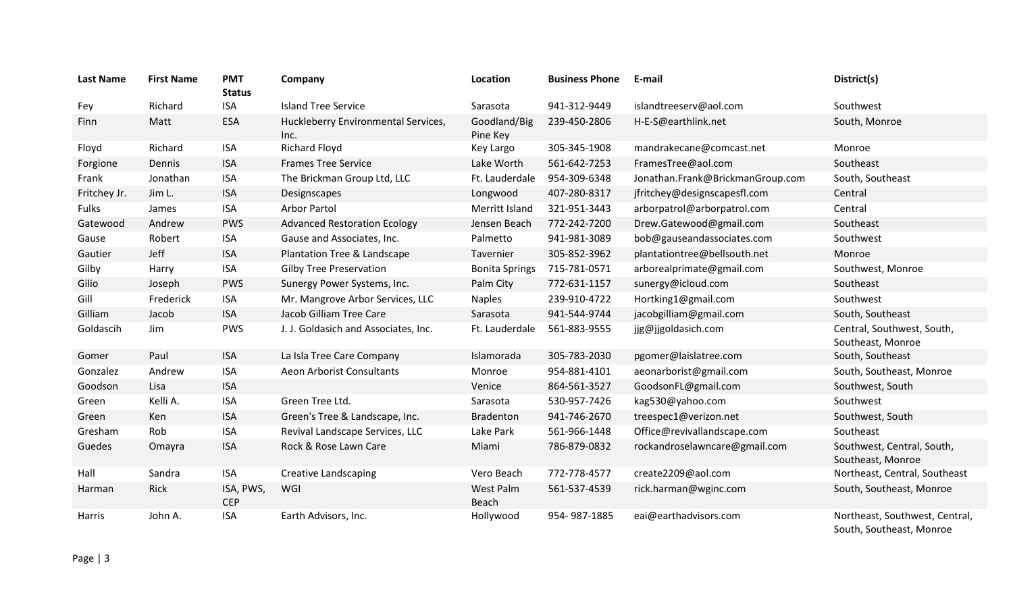| <b>Last Name</b> | <b>First Name</b> | <b>PMT</b><br><b>Status</b> | Company                                     | Location                 | <b>Business Phone</b> | E-mail                           | District(s)                                                |
|------------------|-------------------|-----------------------------|---------------------------------------------|--------------------------|-----------------------|----------------------------------|------------------------------------------------------------|
| Fey              | Richard           | <b>ISA</b>                  | <b>Island Tree Service</b>                  | Sarasota                 | 941-312-9449          | islandtreeserv@aol.com           | Southwest                                                  |
| Finn             | Matt              | <b>ESA</b>                  | Huckleberry Environmental Services,<br>Inc. | Goodland/Big<br>Pine Key | 239-450-2806          | H-E-S@earthlink.net              | South, Monroe                                              |
| Floyd            | Richard           | <b>ISA</b>                  | <b>Richard Floyd</b>                        | Key Largo                | 305-345-1908          | mandrakecane@comcast.net         | Monroe                                                     |
| Forgione         | Dennis            | <b>ISA</b>                  | <b>Frames Tree Service</b>                  | Lake Worth               | 561-642-7253          | FramesTree@aol.com               | Southeast                                                  |
| Frank            | Jonathan          | <b>ISA</b>                  | The Brickman Group Ltd, LLC                 | Ft. Lauderdale           | 954-309-6348          | Jonathan.Frank@BrickmanGroup.com | South, Southeast                                           |
| Fritchey Jr.     | Jim L.            | <b>ISA</b>                  | Designscapes                                | Longwood                 | 407-280-8317          | jfritchey@designscapesfl.com     | Central                                                    |
| <b>Fulks</b>     | James             | <b>ISA</b>                  | Arbor Partol                                | Merritt Island           | 321-951-3443          | arborpatrol@arborpatrol.com      | Central                                                    |
| Gatewood         | Andrew            | <b>PWS</b>                  | <b>Advanced Restoration Ecology</b>         | Jensen Beach             | 772-242-7200          | Drew.Gatewood@gmail.com          | Southeast                                                  |
| Gause            | Robert            | <b>ISA</b>                  | Gause and Associates, Inc.                  | Palmetto                 | 941-981-3089          | bob@gauseandassociates.com       | Southwest                                                  |
| Gautier          | Jeff              | <b>ISA</b>                  | Plantation Tree & Landscape                 | Tavernier                | 305-852-3962          | plantationtree@bellsouth.net     | Monroe                                                     |
| Gilby            | Harry             | <b>ISA</b>                  | <b>Gilby Tree Preservation</b>              | <b>Bonita Springs</b>    | 715-781-0571          | arborealprimate@gmail.com        | Southwest, Monroe                                          |
| Gilio            | Joseph            | <b>PWS</b>                  | Sunergy Power Systems, Inc.                 | Palm City                | 772-631-1157          | sunergy@icloud.com               | Southeast                                                  |
| Gill             | Frederick         | <b>ISA</b>                  | Mr. Mangrove Arbor Services, LLC            | <b>Naples</b>            | 239-910-4722          | Hortking1@gmail.com              | Southwest                                                  |
| Gilliam          | Jacob             | <b>ISA</b>                  | Jacob Gilliam Tree Care                     | Sarasota                 | 941-544-9744          | jacobgilliam@gmail.com           | South, Southeast                                           |
| Goldascih        | Jim               | <b>PWS</b>                  | J. J. Goldasich and Associates, Inc.        | Ft. Lauderdale           | 561-883-9555          | jjg@jjgoldasich.com              | Central, Southwest, South,<br>Southeast, Monroe            |
| Gomer            | Paul              | <b>ISA</b>                  | La Isla Tree Care Company                   | Islamorada               | 305-783-2030          | pgomer@laislatree.com            | South, Southeast                                           |
| Gonzalez         | Andrew            | <b>ISA</b>                  | Aeon Arborist Consultants                   | Monroe                   | 954-881-4101          | aeonarborist@gmail.com           | South, Southeast, Monroe                                   |
| Goodson          | Lisa              | <b>ISA</b>                  |                                             | Venice                   | 864-561-3527          | GoodsonFL@gmail.com              | Southwest, South                                           |
| Green            | Kelli A.          | <b>ISA</b>                  | Green Tree Ltd.                             | Sarasota                 | 530-957-7426          | kag530@yahoo.com                 | Southwest                                                  |
| Green            | Ken               | <b>ISA</b>                  | Green's Tree & Landscape, Inc.              | Bradenton                | 941-746-2670          | treespec1@verizon.net            | Southwest, South                                           |
| Gresham          | Rob               | <b>ISA</b>                  | Revival Landscape Services, LLC             | Lake Park                | 561-966-1448          | Office@revivallandscape.com      | Southeast                                                  |
| Guedes           | Omayra            | <b>ISA</b>                  | Rock & Rose Lawn Care                       | Miami                    | 786-879-0832          | rockandroselawncare@gmail.com    | Southwest, Central, South,<br>Southeast, Monroe            |
| Hall             | Sandra            | ISA                         | <b>Creative Landscaping</b>                 | Vero Beach               | 772-778-4577          | create2209@aol.com               | Northeast, Central, Southeast                              |
| Harman           | Rick              | ISA, PWS,<br><b>CEP</b>     | WGI                                         | West Palm<br>Beach       | 561-537-4539          | rick.harman@wginc.com            | South, Southeast, Monroe                                   |
| Harris           | John A.           | <b>ISA</b>                  | Earth Advisors, Inc.                        | Hollywood                | 954-987-1885          | eai@earthadvisors.com            | Northeast, Southwest, Central,<br>South, Southeast, Monroe |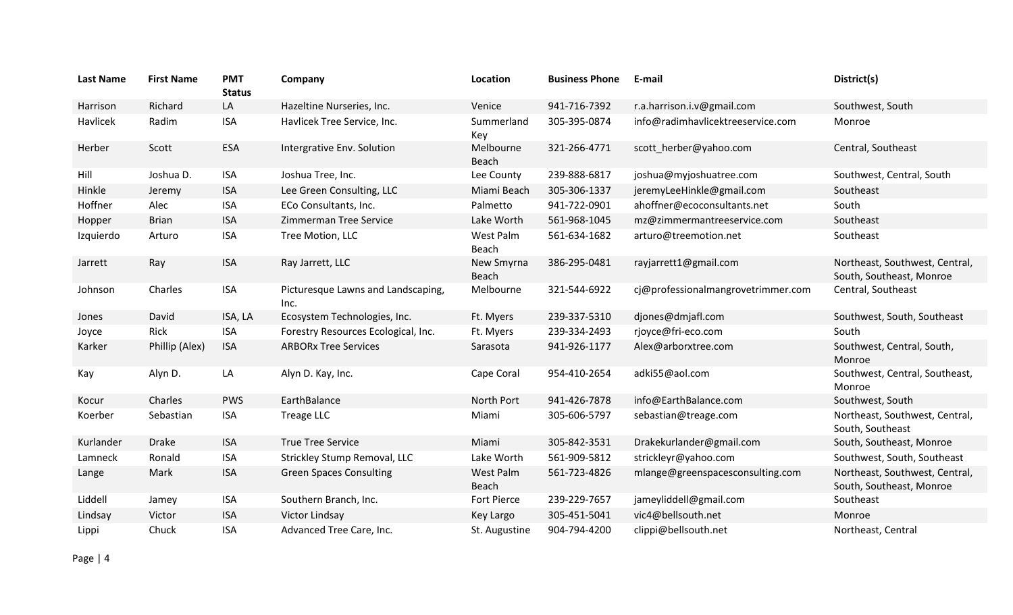| <b>Last Name</b> | <b>First Name</b> | <b>PMT</b><br><b>Status</b> | Company                                    | Location            | <b>Business Phone</b> | E-mail                             | District(s)                                                |
|------------------|-------------------|-----------------------------|--------------------------------------------|---------------------|-----------------------|------------------------------------|------------------------------------------------------------|
| Harrison         | Richard           | LA                          | Hazeltine Nurseries, Inc.                  | Venice              | 941-716-7392          | r.a.harrison.i.v@gmail.com         | Southwest, South                                           |
| Havlicek         | Radim             | <b>ISA</b>                  | Havlicek Tree Service, Inc.                | Summerland<br>Key   | 305-395-0874          | info@radimhavlicektreeservice.com  | Monroe                                                     |
| Herber           | Scott             | <b>ESA</b>                  | Intergrative Env. Solution                 | Melbourne<br>Beach  | 321-266-4771          | scott herber@yahoo.com             | Central, Southeast                                         |
| Hill             | Joshua D.         | <b>ISA</b>                  | Joshua Tree, Inc.                          | Lee County          | 239-888-6817          | joshua@myjoshuatree.com            | Southwest, Central, South                                  |
| Hinkle           | Jeremy            | <b>ISA</b>                  | Lee Green Consulting, LLC                  | Miami Beach         | 305-306-1337          | jeremyLeeHinkle@gmail.com          | Southeast                                                  |
| Hoffner          | Alec              | <b>ISA</b>                  | ECo Consultants, Inc.                      | Palmetto            | 941-722-0901          | ahoffner@ecoconsultants.net        | South                                                      |
| Hopper           | <b>Brian</b>      | <b>ISA</b>                  | Zimmerman Tree Service                     | Lake Worth          | 561-968-1045          | mz@zimmermantreeservice.com        | Southeast                                                  |
| Izquierdo        | Arturo            | <b>ISA</b>                  | Tree Motion, LLC                           | West Palm<br>Beach  | 561-634-1682          | arturo@treemotion.net              | Southeast                                                  |
| Jarrett          | Ray               | <b>ISA</b>                  | Ray Jarrett, LLC                           | New Smyrna<br>Beach | 386-295-0481          | rayjarrett1@gmail.com              | Northeast, Southwest, Central,<br>South, Southeast, Monroe |
| Johnson          | Charles           | <b>ISA</b>                  | Picturesque Lawns and Landscaping,<br>Inc. | Melbourne           | 321-544-6922          | cj@professionalmangrovetrimmer.com | Central, Southeast                                         |
| Jones            | David             | ISA, LA                     | Ecosystem Technologies, Inc.               | Ft. Myers           | 239-337-5310          | djones@dmjafl.com                  | Southwest, South, Southeast                                |
| Joyce            | Rick              | <b>ISA</b>                  | Forestry Resources Ecological, Inc.        | Ft. Myers           | 239-334-2493          | rjoyce@fri-eco.com                 | South                                                      |
| Karker           | Phillip (Alex)    | <b>ISA</b>                  | <b>ARBORx Tree Services</b>                | Sarasota            | 941-926-1177          | Alex@arborxtree.com                | Southwest, Central, South,<br>Monroe                       |
| Kay              | Alyn D.           | LA                          | Alyn D. Kay, Inc.                          | Cape Coral          | 954-410-2654          | adki55@aol.com                     | Southwest, Central, Southeast,<br>Monroe                   |
| Kocur            | Charles           | <b>PWS</b>                  | EarthBalance                               | North Port          | 941-426-7878          | info@EarthBalance.com              | Southwest, South                                           |
| Koerber          | Sebastian         | <b>ISA</b>                  | Treage LLC                                 | Miami               | 305-606-5797          | sebastian@treage.com               | Northeast, Southwest, Central,<br>South, Southeast         |
| Kurlander        | <b>Drake</b>      | <b>ISA</b>                  | <b>True Tree Service</b>                   | Miami               | 305-842-3531          | Drakekurlander@gmail.com           | South, Southeast, Monroe                                   |
| Lamneck          | Ronald            | <b>ISA</b>                  | Strickley Stump Removal, LLC               | Lake Worth          | 561-909-5812          | strickleyr@yahoo.com               | Southwest, South, Southeast                                |
| Lange            | Mark              | <b>ISA</b>                  | <b>Green Spaces Consulting</b>             | West Palm<br>Beach  | 561-723-4826          | mlange@greenspacesconsulting.com   | Northeast, Southwest, Central,<br>South, Southeast, Monroe |
| Liddell          | Jamey             | <b>ISA</b>                  | Southern Branch, Inc.                      | Fort Pierce         | 239-229-7657          | jameyliddell@gmail.com             | Southeast                                                  |
| Lindsay          | Victor            | <b>ISA</b>                  | Victor Lindsay                             | Key Largo           | 305-451-5041          | vic4@bellsouth.net                 | Monroe                                                     |
| Lippi            | Chuck             | <b>ISA</b>                  | Advanced Tree Care, Inc.                   | St. Augustine       | 904-794-4200          | clippi@bellsouth.net               | Northeast, Central                                         |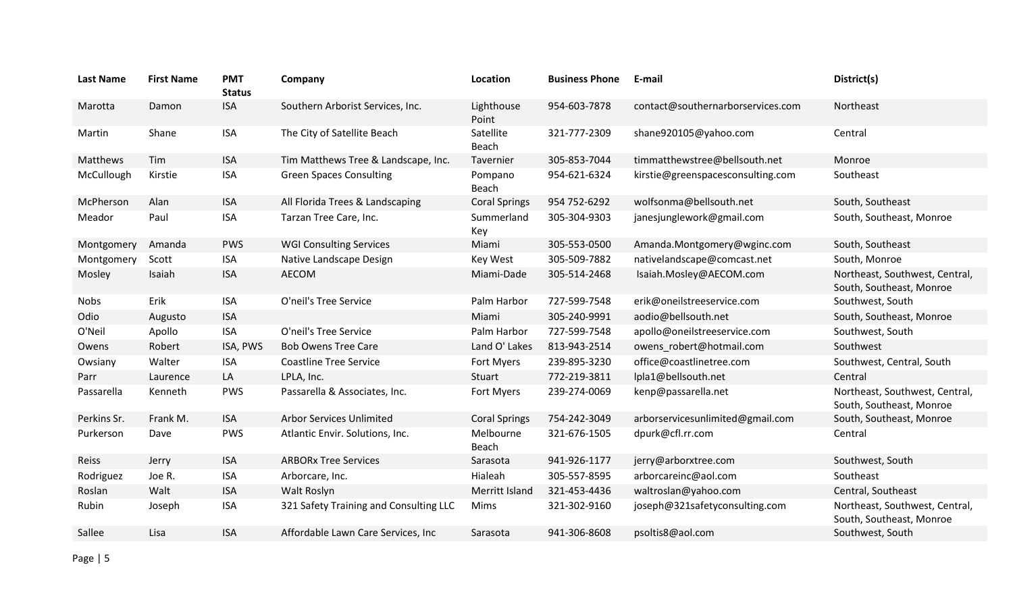| <b>Last Name</b> | <b>First Name</b> | <b>PMT</b><br><b>Status</b> | Company                                | Location                  | <b>Business Phone</b> | E-mail                            | District(s)                                                |
|------------------|-------------------|-----------------------------|----------------------------------------|---------------------------|-----------------------|-----------------------------------|------------------------------------------------------------|
| Marotta          | Damon             | <b>ISA</b>                  | Southern Arborist Services, Inc.       | Lighthouse<br>Point       | 954-603-7878          | contact@southernarborservices.com | Northeast                                                  |
| Martin           | Shane             | <b>ISA</b>                  | The City of Satellite Beach            | Satellite<br>Beach        | 321-777-2309          | shane920105@yahoo.com             | Central                                                    |
| Matthews         | Tim               | <b>ISA</b>                  | Tim Matthews Tree & Landscape, Inc.    | Tavernier                 | 305-853-7044          | timmatthewstree@bellsouth.net     | Monroe                                                     |
| McCullough       | Kirstie           | <b>ISA</b>                  | <b>Green Spaces Consulting</b>         | Pompano<br><b>Beach</b>   | 954-621-6324          | kirstie@greenspacesconsulting.com | Southeast                                                  |
| McPherson        | Alan              | <b>ISA</b>                  | All Florida Trees & Landscaping        | <b>Coral Springs</b>      | 954 752-6292          | wolfsonma@bellsouth.net           | South, Southeast                                           |
| Meador           | Paul              | <b>ISA</b>                  | Tarzan Tree Care, Inc.                 | Summerland<br>Key         | 305-304-9303          | janesjunglework@gmail.com         | South, Southeast, Monroe                                   |
| Montgomery       | Amanda            | <b>PWS</b>                  | <b>WGI Consulting Services</b>         | Miami                     | 305-553-0500          | Amanda.Montgomery@wginc.com       | South, Southeast                                           |
| Montgomery       | Scott             | <b>ISA</b>                  | Native Landscape Design                | Key West                  | 305-509-7882          | nativelandscape@comcast.net       | South, Monroe                                              |
| Mosley           | Isaiah            | <b>ISA</b>                  | <b>AECOM</b>                           | Miami-Dade                | 305-514-2468          | Isaiah.Mosley@AECOM.com           | Northeast, Southwest, Central,<br>South, Southeast, Monroe |
| <b>Nobs</b>      | Erik              | <b>ISA</b>                  | O'neil's Tree Service                  | Palm Harbor               | 727-599-7548          | erik@oneilstreeservice.com        | Southwest, South                                           |
| Odio             | Augusto           | <b>ISA</b>                  |                                        | Miami                     | 305-240-9991          | aodio@bellsouth.net               | South, Southeast, Monroe                                   |
| O'Neil           | Apollo            | <b>ISA</b>                  | O'neil's Tree Service                  | Palm Harbor               | 727-599-7548          | apollo@oneilstreeservice.com      | Southwest, South                                           |
| Owens            | Robert            | ISA, PWS                    | <b>Bob Owens Tree Care</b>             | Land O' Lakes             | 813-943-2514          | owens_robert@hotmail.com          | Southwest                                                  |
| Owsiany          | Walter            | <b>ISA</b>                  | <b>Coastline Tree Service</b>          | Fort Myers                | 239-895-3230          | office@coastlinetree.com          | Southwest, Central, South                                  |
| Parr             | Laurence          | LA                          | LPLA, Inc.                             | Stuart                    | 772-219-3811          | lpla1@bellsouth.net               | Central                                                    |
| Passarella       | Kenneth           | <b>PWS</b>                  | Passarella & Associates, Inc.          | Fort Myers                | 239-274-0069          | kenp@passarella.net               | Northeast, Southwest, Central,<br>South, Southeast, Monroe |
| Perkins Sr.      | Frank M.          | <b>ISA</b>                  | <b>Arbor Services Unlimited</b>        | <b>Coral Springs</b>      | 754-242-3049          | arborservicesunlimited@gmail.com  | South, Southeast, Monroe                                   |
| Purkerson        | Dave              | <b>PWS</b>                  | Atlantic Envir. Solutions, Inc.        | Melbourne<br><b>Beach</b> | 321-676-1505          | dpurk@cfl.rr.com                  | Central                                                    |
| Reiss            | Jerry             | <b>ISA</b>                  | <b>ARBORx Tree Services</b>            | Sarasota                  | 941-926-1177          | jerry@arborxtree.com              | Southwest, South                                           |
| Rodriguez        | Joe R.            | <b>ISA</b>                  | Arborcare, Inc.                        | Hialeah                   | 305-557-8595          | arborcareinc@aol.com              | Southeast                                                  |
| Roslan           | Walt              | <b>ISA</b>                  | Walt Roslyn                            | Merritt Island            | 321-453-4436          | waltroslan@yahoo.com              | Central, Southeast                                         |
| Rubin            | Joseph            | <b>ISA</b>                  | 321 Safety Training and Consulting LLC | Mims                      | 321-302-9160          | joseph@321safetyconsulting.com    | Northeast, Southwest, Central,<br>South, Southeast, Monroe |
| Sallee           |                   |                             |                                        |                           |                       |                                   |                                                            |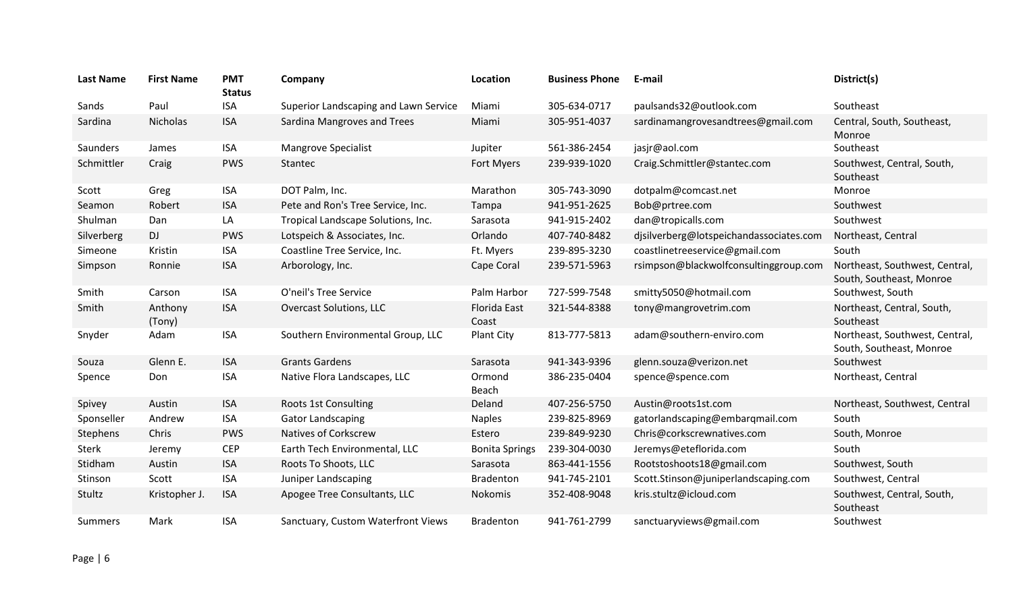| <b>Last Name</b> | <b>First Name</b> | <b>PMT</b><br><b>Status</b> | Company                               | Location                     | <b>Business Phone</b> | E-mail                                  | District(s)                                                |
|------------------|-------------------|-----------------------------|---------------------------------------|------------------------------|-----------------------|-----------------------------------------|------------------------------------------------------------|
| Sands            | Paul              | <b>ISA</b>                  | Superior Landscaping and Lawn Service | Miami                        | 305-634-0717          | paulsands32@outlook.com                 | Southeast                                                  |
| Sardina          | Nicholas          | <b>ISA</b>                  | Sardina Mangroves and Trees           | Miami                        | 305-951-4037          | sardinamangrovesandtrees@gmail.com      | Central, South, Southeast,<br>Monroe                       |
| Saunders         | James             | <b>ISA</b>                  | <b>Mangrove Specialist</b>            | Jupiter                      | 561-386-2454          | jasjr@aol.com                           | Southeast                                                  |
| Schmittler       | Craig             | <b>PWS</b>                  | Stantec                               | Fort Myers                   | 239-939-1020          | Craig.Schmittler@stantec.com            | Southwest, Central, South,<br>Southeast                    |
| Scott            | Greg              | <b>ISA</b>                  | DOT Palm, Inc.                        | Marathon                     | 305-743-3090          | dotpalm@comcast.net                     | Monroe                                                     |
| Seamon           | Robert            | <b>ISA</b>                  | Pete and Ron's Tree Service, Inc.     | Tampa                        | 941-951-2625          | Bob@prtree.com                          | Southwest                                                  |
| Shulman          | Dan               | LA                          | Tropical Landscape Solutions, Inc.    | Sarasota                     | 941-915-2402          | dan@tropicalls.com                      | Southwest                                                  |
| Silverberg       | <b>DJ</b>         | <b>PWS</b>                  | Lotspeich & Associates, Inc.          | Orlando                      | 407-740-8482          | djsilverberg@lotspeichandassociates.com | Northeast, Central                                         |
| Simeone          | Kristin           | <b>ISA</b>                  | Coastline Tree Service, Inc.          | Ft. Myers                    | 239-895-3230          | coastlinetreeservice@gmail.com          | South                                                      |
| Simpson          | Ronnie            | <b>ISA</b>                  | Arborology, Inc.                      | Cape Coral                   | 239-571-5963          | rsimpson@blackwolfconsultinggroup.com   | Northeast, Southwest, Central,<br>South, Southeast, Monroe |
| Smith            | Carson            | <b>ISA</b>                  | O'neil's Tree Service                 | Palm Harbor                  | 727-599-7548          | smitty5050@hotmail.com                  | Southwest, South                                           |
| Smith            | Anthony<br>(Tony) | <b>ISA</b>                  | <b>Overcast Solutions, LLC</b>        | <b>Florida East</b><br>Coast | 321-544-8388          | tony@mangrovetrim.com                   | Northeast, Central, South,<br>Southeast                    |
| Snyder           | Adam              | <b>ISA</b>                  | Southern Environmental Group, LLC     | Plant City                   | 813-777-5813          | adam@southern-enviro.com                | Northeast, Southwest, Central,<br>South, Southeast, Monroe |
| Souza            | Glenn E.          | <b>ISA</b>                  | <b>Grants Gardens</b>                 | Sarasota                     | 941-343-9396          | glenn.souza@verizon.net                 | Southwest                                                  |
| Spence           | Don               | <b>ISA</b>                  | Native Flora Landscapes, LLC          | Ormond<br>Beach              | 386-235-0404          | spence@spence.com                       | Northeast, Central                                         |
| Spivey           | Austin            | <b>ISA</b>                  | Roots 1st Consulting                  | Deland                       | 407-256-5750          | Austin@roots1st.com                     | Northeast, Southwest, Central                              |
| Sponseller       | Andrew            | <b>ISA</b>                  | <b>Gator Landscaping</b>              | <b>Naples</b>                | 239-825-8969          | gatorlandscaping@embarqmail.com         | South                                                      |
| Stephens         | Chris             | <b>PWS</b>                  | <b>Natives of Corkscrew</b>           | Estero                       | 239-849-9230          | Chris@corkscrewnatives.com              | South, Monroe                                              |
| <b>Sterk</b>     | Jeremy            | <b>CEP</b>                  | Earth Tech Environmental, LLC         | <b>Bonita Springs</b>        | 239-304-0030          | Jeremys@eteflorida.com                  | South                                                      |
| Stidham          | Austin            | <b>ISA</b>                  | Roots To Shoots, LLC                  | Sarasota                     | 863-441-1556          | Rootstoshoots18@gmail.com               | Southwest, South                                           |
| Stinson          | Scott             | <b>ISA</b>                  | Juniper Landscaping                   | <b>Bradenton</b>             | 941-745-2101          | Scott.Stinson@juniperlandscaping.com    | Southwest, Central                                         |
| Stultz           | Kristopher J.     | <b>ISA</b>                  | Apogee Tree Consultants, LLC          | Nokomis                      | 352-408-9048          | kris.stultz@icloud.com                  | Southwest, Central, South,<br>Southeast                    |
| Summers          | Mark              | <b>ISA</b>                  | Sanctuary, Custom Waterfront Views    | <b>Bradenton</b>             | 941-761-2799          | sanctuaryviews@gmail.com                | Southwest                                                  |